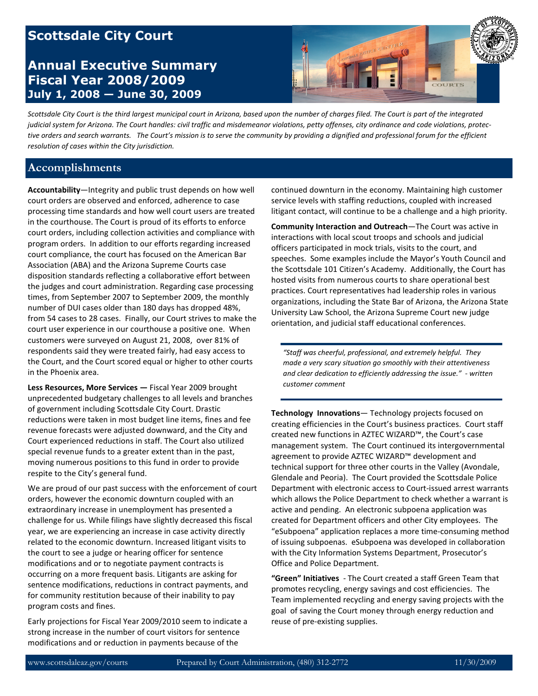# **Scottsdale City Court**

# **Annual Executive Summary Fiscal Year 2008/2009 July 1, 2008 — June 30, 2009**



*Scottsdale City Court is the third largest municipal court in Arizona, based upon the number of charges filed. The Court is part of the integrated judicial system for Arizona. The Court handles: civil traffic and misdemeanor violations, petty offenses, city ordinance and code violations, protective orders and search warrants. The Court's mission is to serve the community by providing a dignified and professional forum for the efficient resolution of cases within the City jurisdiction.* 

#### **Accomplishments**

**Accountability**—Integrity and public trust depends on how well court orders are observed and enforced, adherence to case processing time standards and how well court users are treated in the courthouse. The Court is proud of its efforts to enforce court orders, including collection activities and compliance with program orders. In addition to our efforts regarding increased court compliance, the court has focused on the American Bar Association (ABA) and the Arizona Supreme Courts case disposition standards reflecting a collaborative effort between the judges and court administration. Regarding case processing times, from September 2007 to September 2009, the monthly number of DUI cases older than 180 days has dropped 48%, from 54 cases to 28 cases. Finally, our Court strives to make the court user experience in our courthouse a positive one. When customers were surveyed on August 21, 2008, over 81% of respondents said they were treated fairly, had easy access to the Court, and the Court scored equal or higher to other courts in the Phoenix area.

**Less Resources, More Services —** Fiscal Year 2009 brought unprecedented budgetary challenges to all levels and branches of government including Scottsdale City Court. Drastic reductions were taken in most budget line items, fines and fee revenue forecasts were adjusted downward, and the City and Court experienced reductions in staff. The Court also utilized special revenue funds to a greater extent than in the past, moving numerous positions to this fund in order to provide respite to the City's general fund.

We are proud of our past success with the enforcement of court orders, however the economic downturn coupled with an extraordinary increase in unemployment has presented a challenge for us. While filings have slightly decreased this fiscal year, we are experiencing an increase in case activity directly related to the economic downturn. Increased litigant visits to the court to see a judge or hearing officer for sentence modifications and or to negotiate payment contracts is occurring on a more frequent basis. Litigants are asking for sentence modifications, reductions in contract payments, and for community restitution because of their inability to pay program costs and fines.

Early projections for Fiscal Year 2009/2010 seem to indicate a strong increase in the number of court visitors for sentence modifications and or reduction in payments because of the

continued downturn in the economy. Maintaining high customer service levels with staffing reductions, coupled with increased litigant contact, will continue to be a challenge and a high priority.

**Community Interaction and Outreach**—The Court was active in interactions with local scout troops and schools and judicial officers participated in mock trials, visits to the court, and speeches. Some examples include the Mayor's Youth Council and the Scottsdale 101 Citizen's Academy. Additionally, the Court has hosted visits from numerous courts to share operational best practices. Court representatives had leadership roles in various organizations, including the State Bar of Arizona, the Arizona State University Law School, the Arizona Supreme Court new judge orientation, and judicial staff educational conferences.

*"Staff was cheerful, professional, and extremely helpful. They made a very scary situation go smoothly with their attentiveness and clear dedication to efficiently addressing the issue." - written customer comment* 

**Technology Innovations**— Technology projects focused on creating efficiencies in the Court's business practices. Court staff created new functions in AZTEC WIZARD™, the Court's case management system. The Court continued its intergovernmental agreement to provide AZTEC WIZARD™ development and technical support for three other courts in the Valley (Avondale, Glendale and Peoria). The Court provided the Scottsdale Police Department with electronic access to Court-issued arrest warrants which allows the Police Department to check whether a warrant is active and pending. An electronic subpoena application was created for Department officers and other City employees. The "eSubpoena" application replaces a more time-consuming method of issuing subpoenas. eSubpoena was developed in collaboration with the City Information Systems Department, Prosecutor's Office and Police Department.

**"Green" Initiatives** - The Court created a staff Green Team that promotes recycling, energy savings and cost efficiencies. The Team implemented recycling and energy saving projects with the goal of saving the Court money through energy reduction and reuse of pre-existing supplies.